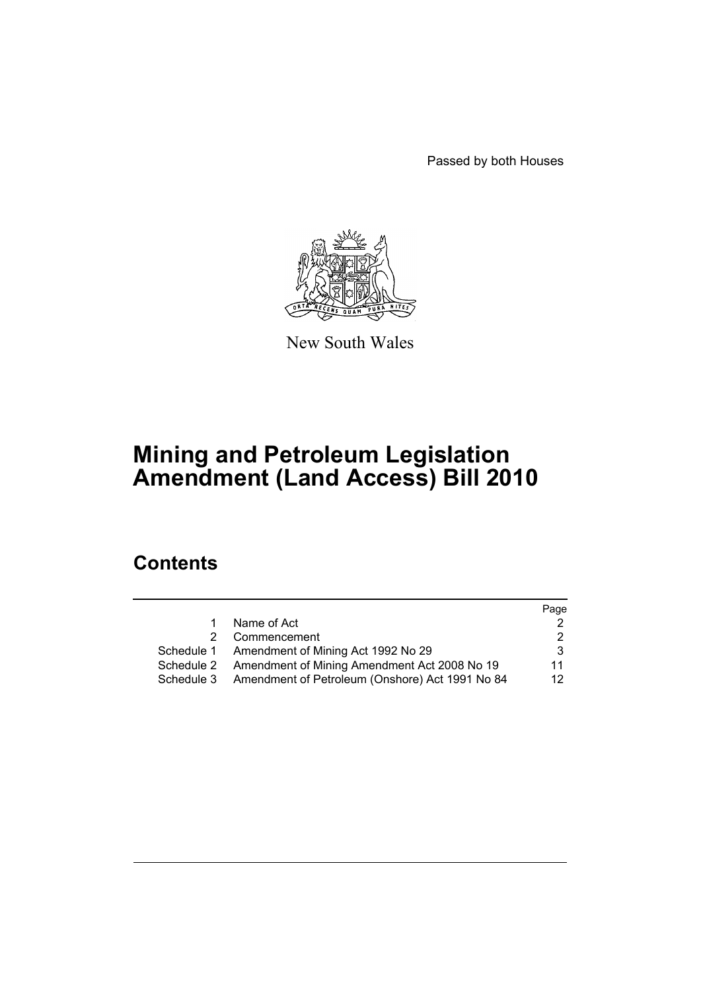Passed by both Houses



New South Wales

# **Mining and Petroleum Legislation Amendment (Land Access) Bill 2010**

# **Contents**

|            |                                                 | Page |
|------------|-------------------------------------------------|------|
| 1.         | Name of Act                                     |      |
| 2          | Commencement                                    |      |
|            | Schedule 1 Amendment of Mining Act 1992 No 29   | 3    |
| Schedule 2 | Amendment of Mining Amendment Act 2008 No 19    | 11   |
| Schedule 3 | Amendment of Petroleum (Onshore) Act 1991 No 84 | 12.  |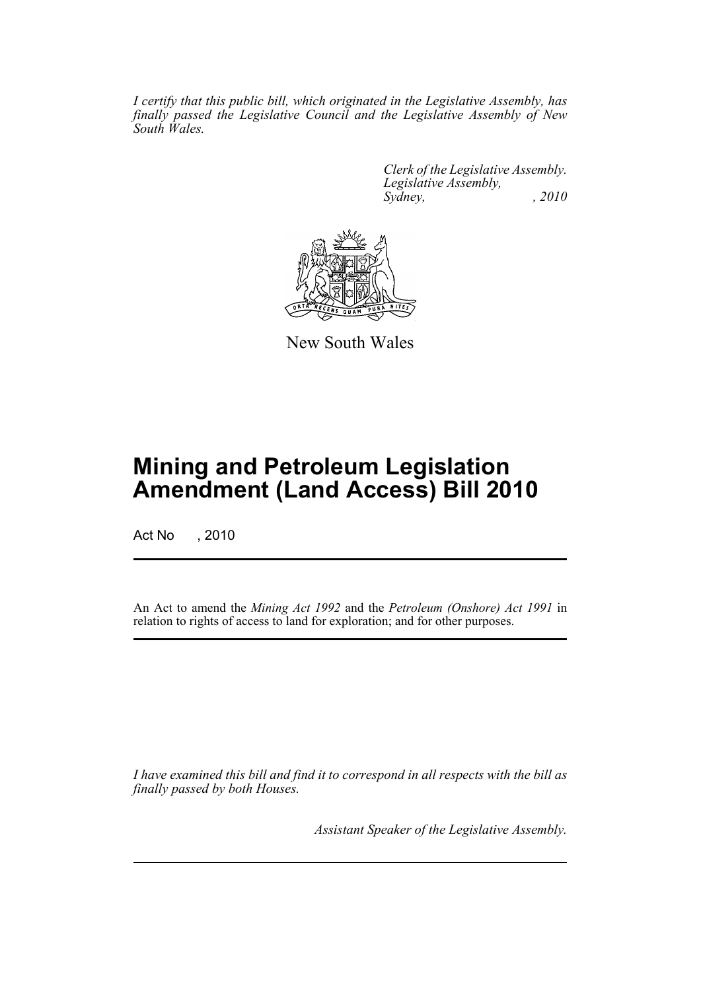*I certify that this public bill, which originated in the Legislative Assembly, has finally passed the Legislative Council and the Legislative Assembly of New South Wales.*

> *Clerk of the Legislative Assembly. Legislative Assembly, Sydney, , 2010*



New South Wales

# **Mining and Petroleum Legislation Amendment (Land Access) Bill 2010**

Act No , 2010

An Act to amend the *Mining Act 1992* and the *Petroleum (Onshore) Act 1991* in relation to rights of access to land for exploration; and for other purposes.

*I have examined this bill and find it to correspond in all respects with the bill as finally passed by both Houses.*

*Assistant Speaker of the Legislative Assembly.*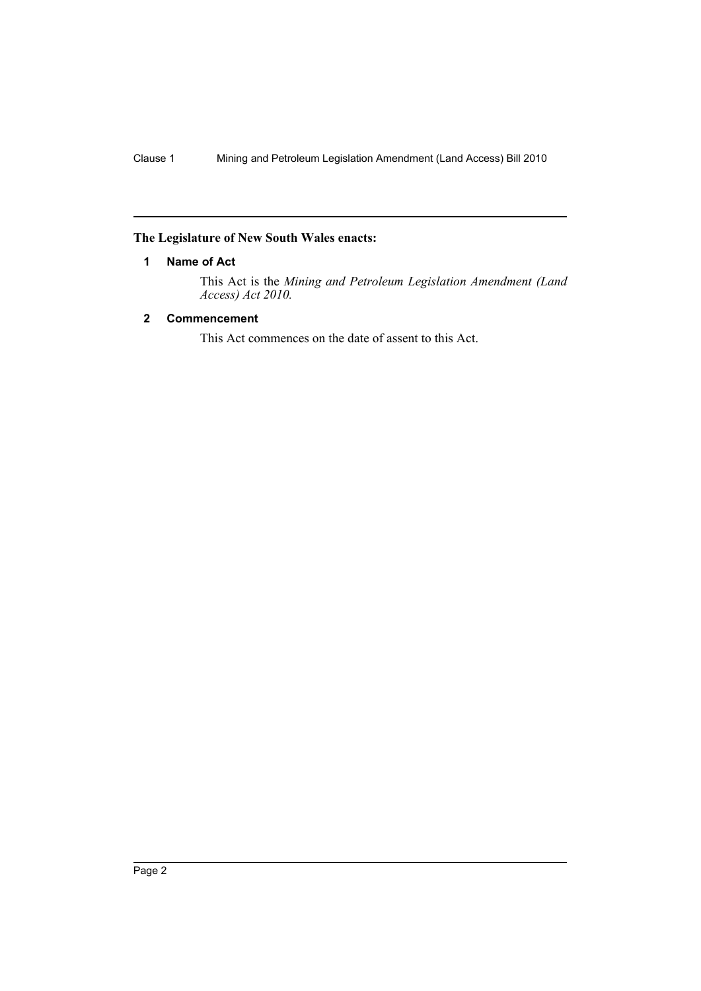# <span id="page-2-0"></span>**The Legislature of New South Wales enacts:**

# **1 Name of Act**

This Act is the *Mining and Petroleum Legislation Amendment (Land Access) Act 2010.*

# <span id="page-2-1"></span>**2 Commencement**

This Act commences on the date of assent to this Act.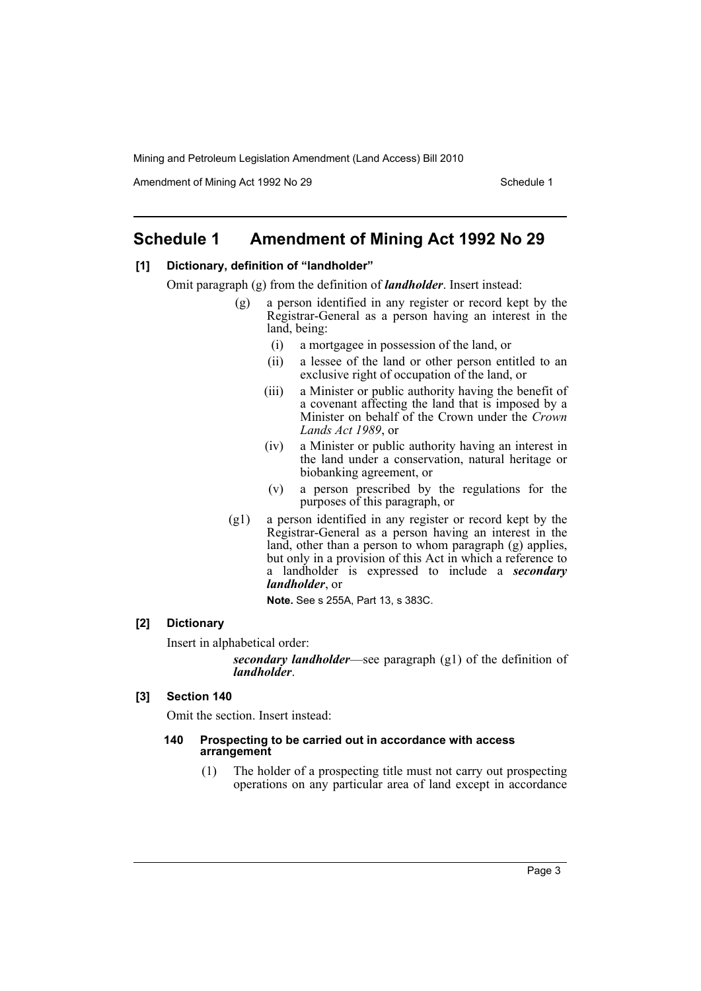Amendment of Mining Act 1992 No 29 Schedule 1

# <span id="page-3-0"></span>**Schedule 1 Amendment of Mining Act 1992 No 29**

# **[1] Dictionary, definition of "landholder"**

Omit paragraph (g) from the definition of *landholder*. Insert instead:

- (g) a person identified in any register or record kept by the Registrar-General as a person having an interest in the land, being:
	- (i) a mortgagee in possession of the land, or
	- (ii) a lessee of the land or other person entitled to an exclusive right of occupation of the land, or
	- (iii) a Minister or public authority having the benefit of a covenant affecting the land that is imposed by a Minister on behalf of the Crown under the *Crown Lands Act 1989*, or
	- (iv) a Minister or public authority having an interest in the land under a conservation, natural heritage or biobanking agreement, or
	- (v) a person prescribed by the regulations for the purposes of this paragraph, or
- (g1) a person identified in any register or record kept by the Registrar-General as a person having an interest in the land, other than a person to whom paragraph (g) applies, but only in a provision of this Act in which a reference to a landholder is expressed to include a *secondary landholder*, or

**Note.** See s 255A, Part 13, s 383C.

# **[2] Dictionary**

Insert in alphabetical order:

*secondary landholder*—see paragraph (g1) of the definition of *landholder*.

#### **[3] Section 140**

Omit the section. Insert instead:

#### **140 Prospecting to be carried out in accordance with access arrangement**

(1) The holder of a prospecting title must not carry out prospecting operations on any particular area of land except in accordance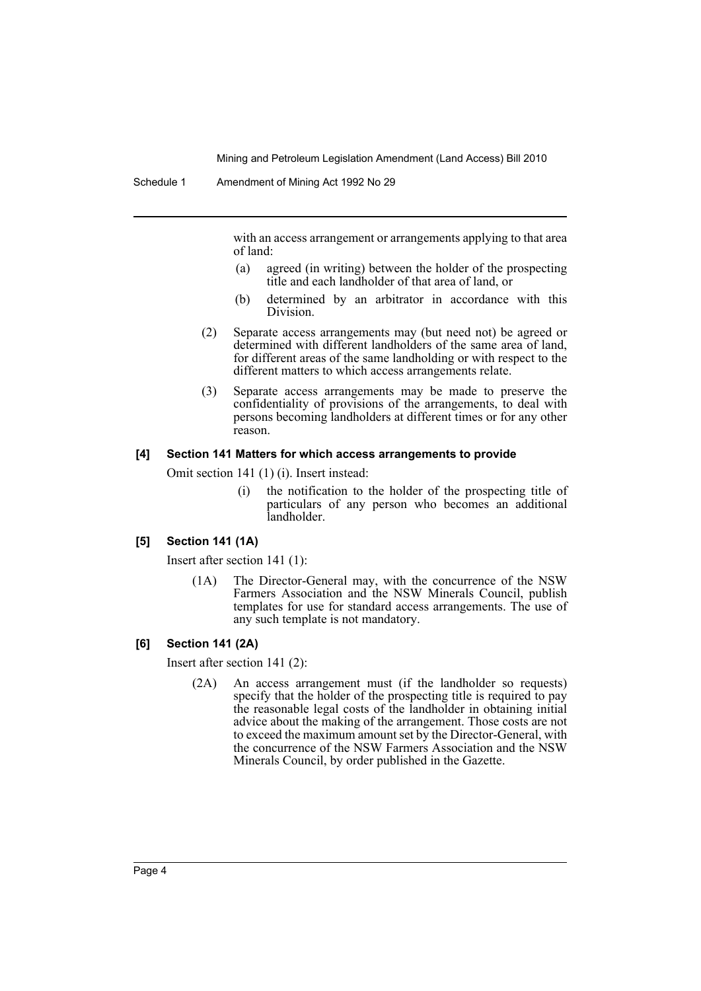with an access arrangement or arrangements applying to that area of land:

- (a) agreed (in writing) between the holder of the prospecting title and each landholder of that area of land, or
- (b) determined by an arbitrator in accordance with this Division.
- (2) Separate access arrangements may (but need not) be agreed or determined with different landholders of the same area of land, for different areas of the same landholding or with respect to the different matters to which access arrangements relate.
- (3) Separate access arrangements may be made to preserve the confidentiality of provisions of the arrangements, to deal with persons becoming landholders at different times or for any other reason.

#### **[4] Section 141 Matters for which access arrangements to provide**

Omit section 141 (1) (i). Insert instead:

(i) the notification to the holder of the prospecting title of particulars of any person who becomes an additional landholder.

#### **[5] Section 141 (1A)**

Insert after section 141 (1):

(1A) The Director-General may, with the concurrence of the NSW Farmers Association and the NSW Minerals Council, publish templates for use for standard access arrangements. The use of any such template is not mandatory.

#### **[6] Section 141 (2A)**

Insert after section 141 (2):

(2A) An access arrangement must (if the landholder so requests) specify that the holder of the prospecting title is required to pay the reasonable legal costs of the landholder in obtaining initial advice about the making of the arrangement. Those costs are not to exceed the maximum amount set by the Director-General, with the concurrence of the NSW Farmers Association and the NSW Minerals Council, by order published in the Gazette.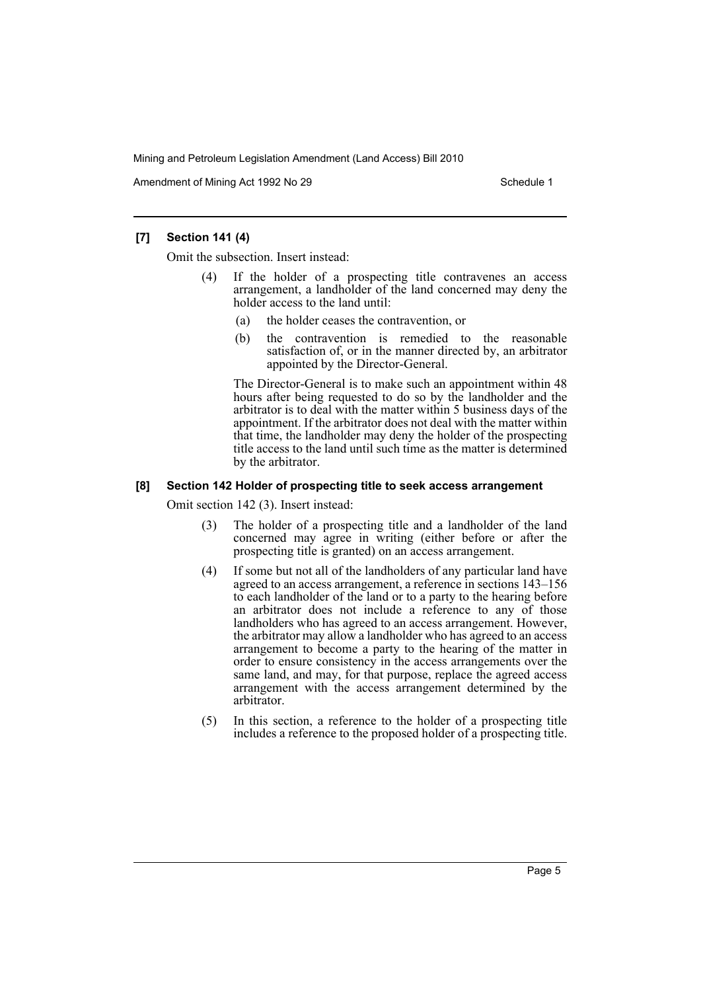Amendment of Mining Act 1992 No 29 Schedule 1

# **[7] Section 141 (4)**

Omit the subsection. Insert instead:

- If the holder of a prospecting title contravenes an access arrangement, a landholder of the land concerned may deny the holder access to the land until:
	- (a) the holder ceases the contravention, or
	- (b) the contravention is remedied to the reasonable satisfaction of, or in the manner directed by, an arbitrator appointed by the Director-General.

The Director-General is to make such an appointment within 48 hours after being requested to do so by the landholder and the arbitrator is to deal with the matter within 5 business days of the appointment. If the arbitrator does not deal with the matter within that time, the landholder may deny the holder of the prospecting title access to the land until such time as the matter is determined by the arbitrator.

#### **[8] Section 142 Holder of prospecting title to seek access arrangement**

Omit section 142 (3). Insert instead:

- (3) The holder of a prospecting title and a landholder of the land concerned may agree in writing (either before or after the prospecting title is granted) on an access arrangement.
- (4) If some but not all of the landholders of any particular land have agreed to an access arrangement, a reference in sections 143–156 to each landholder of the land or to a party to the hearing before an arbitrator does not include a reference to any of those landholders who has agreed to an access arrangement. However, the arbitrator may allow a landholder who has agreed to an access arrangement to become a party to the hearing of the matter in order to ensure consistency in the access arrangements over the same land, and may, for that purpose, replace the agreed access arrangement with the access arrangement determined by the arbitrator.
- (5) In this section, a reference to the holder of a prospecting title includes a reference to the proposed holder of a prospecting title.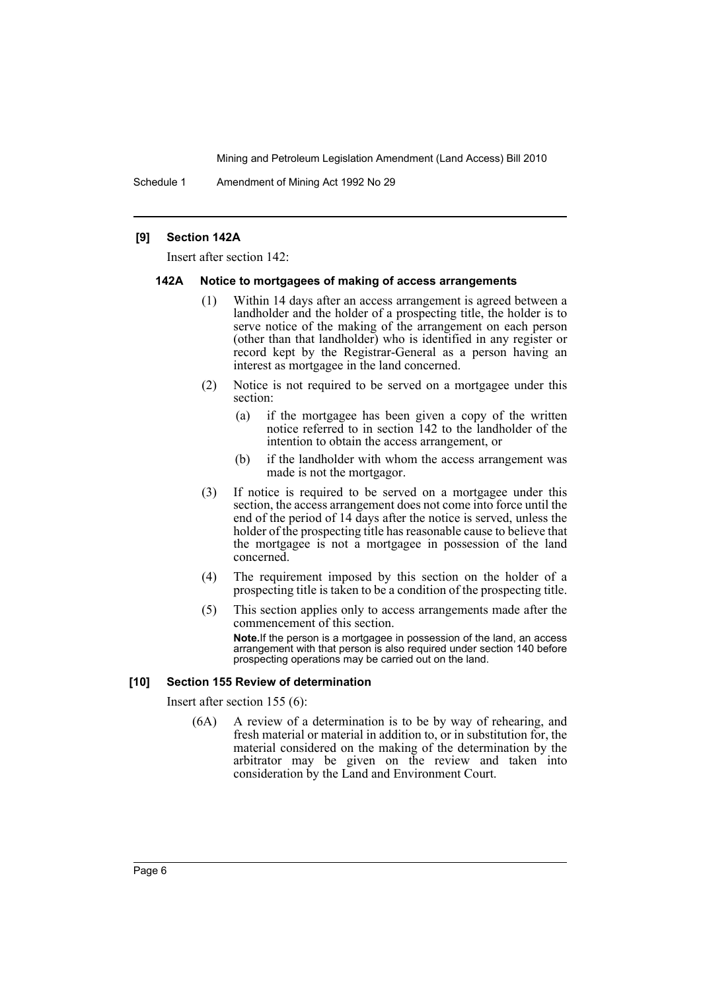Schedule 1 Amendment of Mining Act 1992 No 29

#### **[9] Section 142A**

Insert after section 142:

#### **142A Notice to mortgagees of making of access arrangements**

- (1) Within 14 days after an access arrangement is agreed between a landholder and the holder of a prospecting title, the holder is to serve notice of the making of the arrangement on each person (other than that landholder) who is identified in any register or record kept by the Registrar-General as a person having an interest as mortgagee in the land concerned.
- (2) Notice is not required to be served on a mortgagee under this section:
	- (a) if the mortgagee has been given a copy of the written notice referred to in section 142 to the landholder of the intention to obtain the access arrangement, or
	- (b) if the landholder with whom the access arrangement was made is not the mortgagor.
- (3) If notice is required to be served on a mortgagee under this section, the access arrangement does not come into force until the end of the period of 14 days after the notice is served, unless the holder of the prospecting title has reasonable cause to believe that the mortgagee is not a mortgagee in possession of the land concerned.
- (4) The requirement imposed by this section on the holder of a prospecting title is taken to be a condition of the prospecting title.
- (5) This section applies only to access arrangements made after the commencement of this section. **Note.**If the person is a mortgagee in possession of the land, an access arrangement with that person is also required under section 140 before prospecting operations may be carried out on the land.

#### **[10] Section 155 Review of determination**

Insert after section 155 (6):

(6A) A review of a determination is to be by way of rehearing, and fresh material or material in addition to, or in substitution for, the material considered on the making of the determination by the arbitrator may be given on the review and taken into consideration by the Land and Environment Court.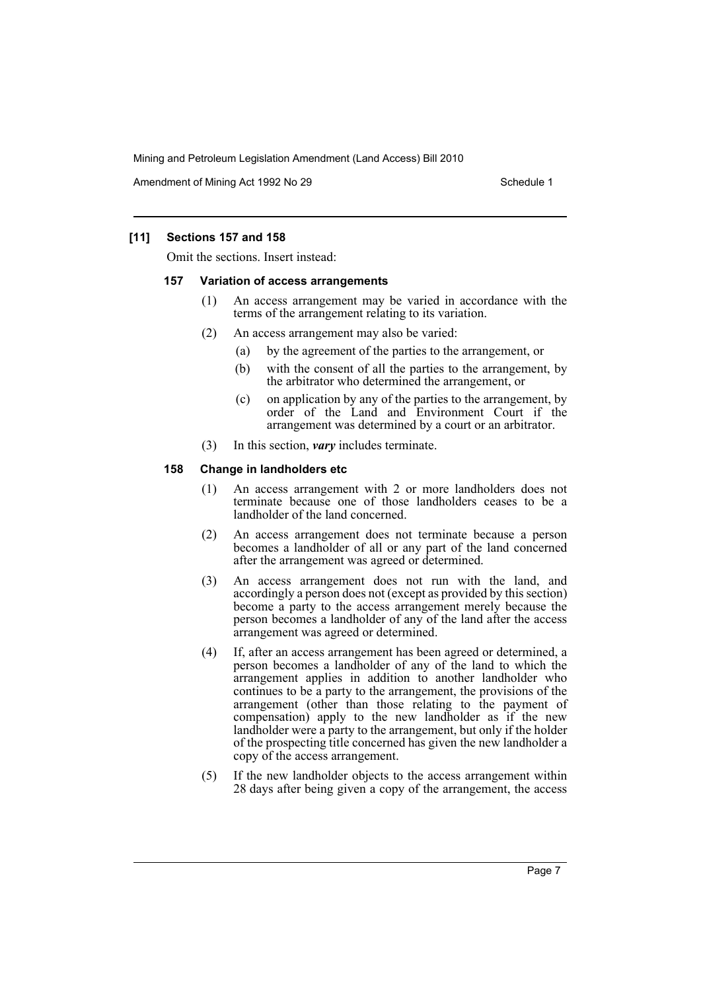Amendment of Mining Act 1992 No 29 Schedule 1

# **[11] Sections 157 and 158**

Omit the sections. Insert instead:

#### **157 Variation of access arrangements**

- (1) An access arrangement may be varied in accordance with the terms of the arrangement relating to its variation.
- (2) An access arrangement may also be varied:
	- (a) by the agreement of the parties to the arrangement, or
	- (b) with the consent of all the parties to the arrangement, by the arbitrator who determined the arrangement, or
	- (c) on application by any of the parties to the arrangement, by order of the Land and Environment Court if the arrangement was determined by a court or an arbitrator.
- (3) In this section, *vary* includes terminate.

# **158 Change in landholders etc**

- (1) An access arrangement with 2 or more landholders does not terminate because one of those landholders ceases to be a landholder of the land concerned.
- (2) An access arrangement does not terminate because a person becomes a landholder of all or any part of the land concerned after the arrangement was agreed or determined.
- (3) An access arrangement does not run with the land, and accordingly a person does not (except as provided by this section) become a party to the access arrangement merely because the person becomes a landholder of any of the land after the access arrangement was agreed or determined.
- (4) If, after an access arrangement has been agreed or determined, a person becomes a landholder of any of the land to which the arrangement applies in addition to another landholder who continues to be a party to the arrangement, the provisions of the arrangement (other than those relating to the payment of compensation) apply to the new landholder as if the new landholder were a party to the arrangement, but only if the holder of the prospecting title concerned has given the new landholder a copy of the access arrangement.
- (5) If the new landholder objects to the access arrangement within 28 days after being given a copy of the arrangement, the access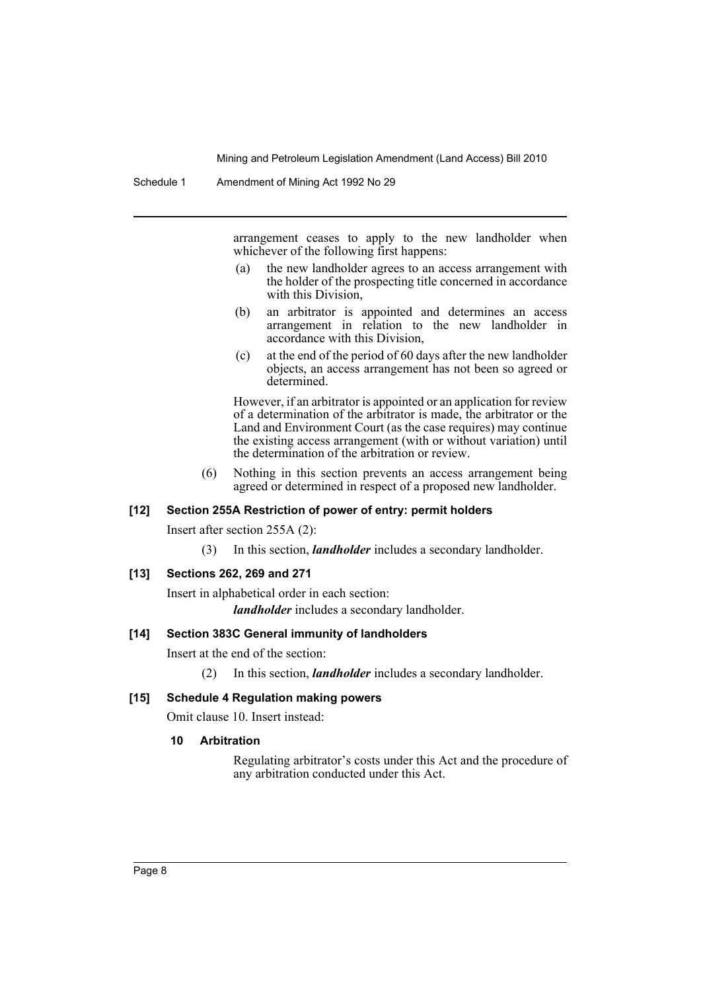arrangement ceases to apply to the new landholder when whichever of the following first happens:

- (a) the new landholder agrees to an access arrangement with the holder of the prospecting title concerned in accordance with this Division.
- (b) an arbitrator is appointed and determines an access arrangement in relation to the new landholder in accordance with this Division,
- (c) at the end of the period of 60 days after the new landholder objects, an access arrangement has not been so agreed or determined.

However, if an arbitrator is appointed or an application for review of a determination of the arbitrator is made, the arbitrator or the Land and Environment Court (as the case requires) may continue the existing access arrangement (with or without variation) until the determination of the arbitration or review.

(6) Nothing in this section prevents an access arrangement being agreed or determined in respect of a proposed new landholder.

# **[12] Section 255A Restriction of power of entry: permit holders**

Insert after section 255A (2):

(3) In this section, *landholder* includes a secondary landholder.

#### **[13] Sections 262, 269 and 271**

Insert in alphabetical order in each section: *landholder* includes a secondary landholder.

#### **[14] Section 383C General immunity of landholders**

Insert at the end of the section:

(2) In this section, *landholder* includes a secondary landholder.

#### **[15] Schedule 4 Regulation making powers**

Omit clause 10. Insert instead:

#### **10 Arbitration**

Regulating arbitrator's costs under this Act and the procedure of any arbitration conducted under this Act.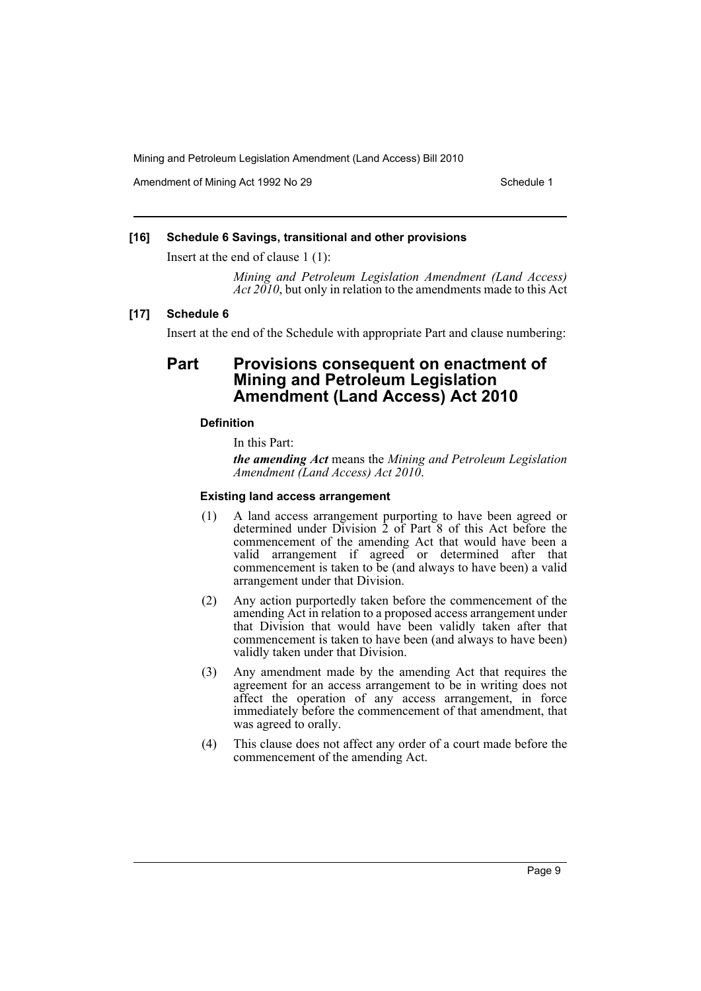Amendment of Mining Act 1992 No 29 Schedule 1

#### **[16] Schedule 6 Savings, transitional and other provisions**

Insert at the end of clause 1 (1):

*Mining and Petroleum Legislation Amendment (Land Access) Act 2010*, but only in relation to the amendments made to this Act

#### **[17] Schedule 6**

Insert at the end of the Schedule with appropriate Part and clause numbering:

# **Part Provisions consequent on enactment of Mining and Petroleum Legislation Amendment (Land Access) Act 2010**

#### **Definition**

In this Part:

*the amending Act* means the *Mining and Petroleum Legislation Amendment (Land Access) Act 2010*.

#### **Existing land access arrangement**

- (1) A land access arrangement purporting to have been agreed or determined under Division 2 of Part 8 of this Act before the commencement of the amending Act that would have been a valid arrangement if agreed or determined after that commencement is taken to be (and always to have been) a valid arrangement under that Division.
- (2) Any action purportedly taken before the commencement of the amending Act in relation to a proposed access arrangement under that Division that would have been validly taken after that commencement is taken to have been (and always to have been) validly taken under that Division.
- (3) Any amendment made by the amending Act that requires the agreement for an access arrangement to be in writing does not affect the operation of any access arrangement, in force immediately before the commencement of that amendment, that was agreed to orally.
- (4) This clause does not affect any order of a court made before the commencement of the amending Act.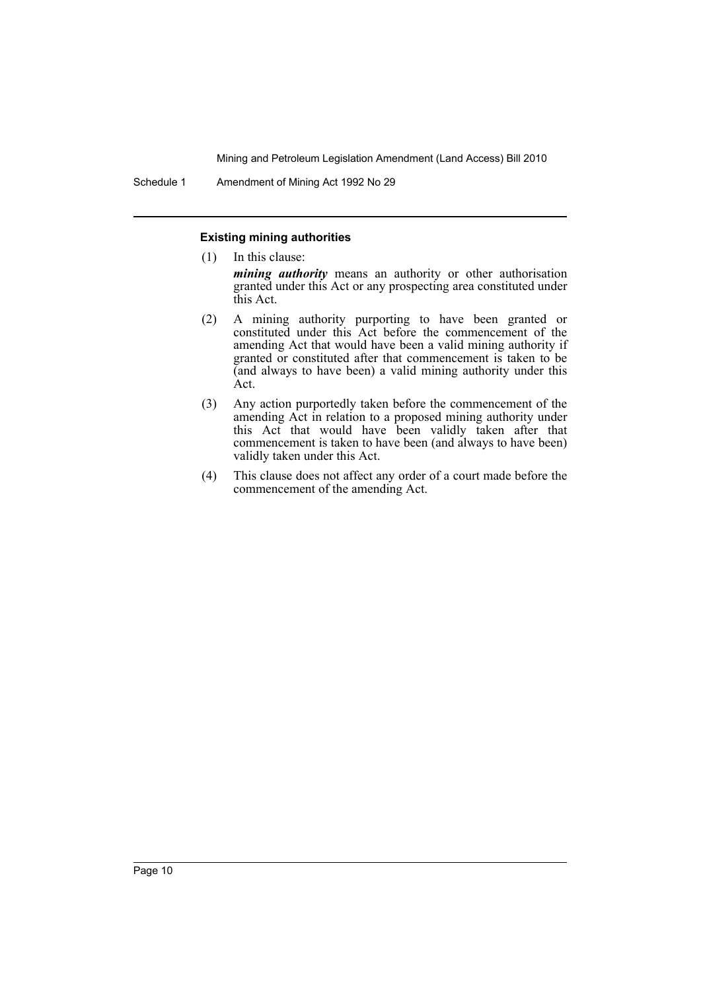Schedule 1 Amendment of Mining Act 1992 No 29

this Act.

#### **Existing mining authorities**

- (1) In this clause: *mining authority* means an authority or other authorisation granted under this Act or any prospecting area constituted under
- (2) A mining authority purporting to have been granted or constituted under this Act before the commencement of the amending Act that would have been a valid mining authority if granted or constituted after that commencement is taken to be (and always to have been) a valid mining authority under this Act.
- (3) Any action purportedly taken before the commencement of the amending Act in relation to a proposed mining authority under this Act that would have been validly taken after that commencement is taken to have been (and always to have been) validly taken under this Act.
- (4) This clause does not affect any order of a court made before the commencement of the amending Act.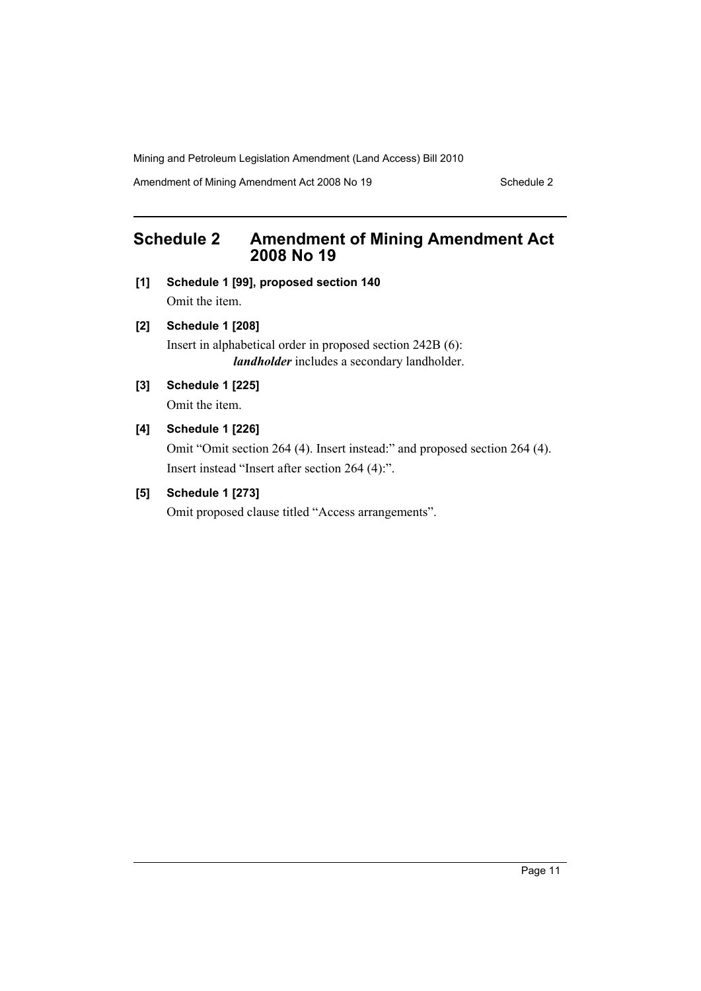Amendment of Mining Amendment Act 2008 No 19 Schedule 2

# <span id="page-11-0"></span>**Schedule 2 Amendment of Mining Amendment Act 2008 No 19**

- **[1] Schedule 1 [99], proposed section 140** Omit the item.
- **[2] Schedule 1 [208]**

Insert in alphabetical order in proposed section 242B (6): *landholder* includes a secondary landholder.

**[3] Schedule 1 [225]**

Omit the item.

**[4] Schedule 1 [226]**

Omit "Omit section 264 (4). Insert instead:" and proposed section 264 (4). Insert instead "Insert after section 264 (4):".

# **[5] Schedule 1 [273]**

Omit proposed clause titled "Access arrangements".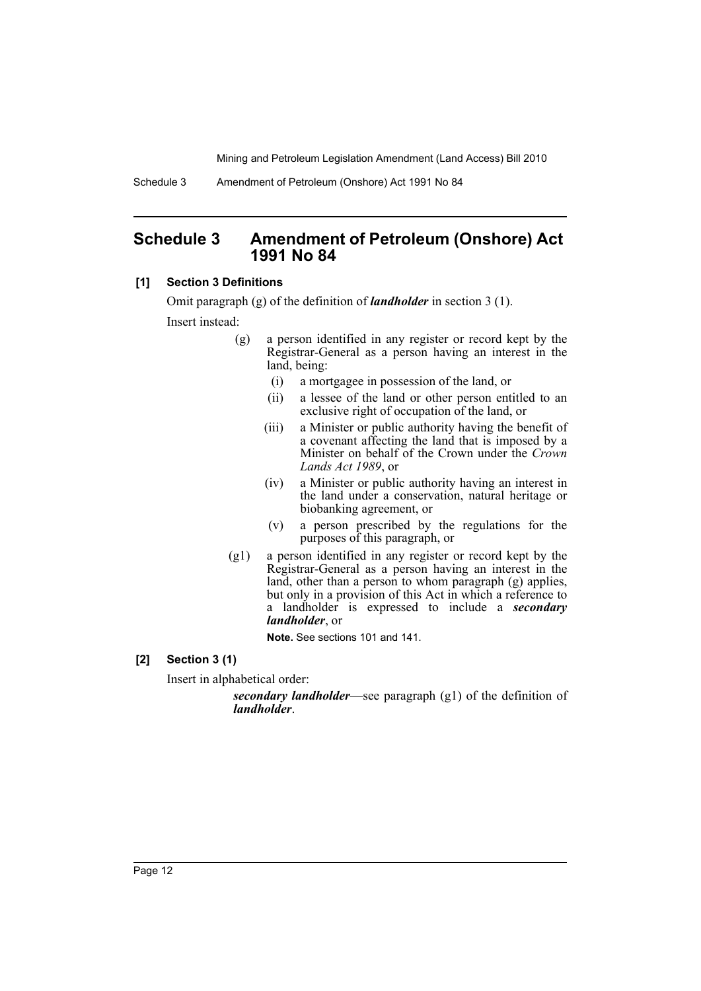Schedule 3 Amendment of Petroleum (Onshore) Act 1991 No 84

# <span id="page-12-0"></span>**Schedule 3 Amendment of Petroleum (Onshore) Act 1991 No 84**

# **[1] Section 3 Definitions**

Omit paragraph (g) of the definition of *landholder* in section 3 (1). Insert instead:

- (g) a person identified in any register or record kept by the Registrar-General as a person having an interest in the land, being:
	- (i) a mortgagee in possession of the land, or
	- (ii) a lessee of the land or other person entitled to an exclusive right of occupation of the land, or
	- (iii) a Minister or public authority having the benefit of a covenant affecting the land that is imposed by a Minister on behalf of the Crown under the *Crown Lands Act 1989*, or
	- (iv) a Minister or public authority having an interest in the land under a conservation, natural heritage or biobanking agreement, or
	- (v) a person prescribed by the regulations for the purposes of this paragraph, or
- (g1) a person identified in any register or record kept by the Registrar-General as a person having an interest in the land, other than a person to whom paragraph (g) applies, but only in a provision of this Act in which a reference to a landholder is expressed to include a *secondary landholder*, or

**Note.** See sections 101 and 141.

**[2] Section 3 (1)**

Insert in alphabetical order:

*secondary landholder*—see paragraph (g1) of the definition of *landholder*.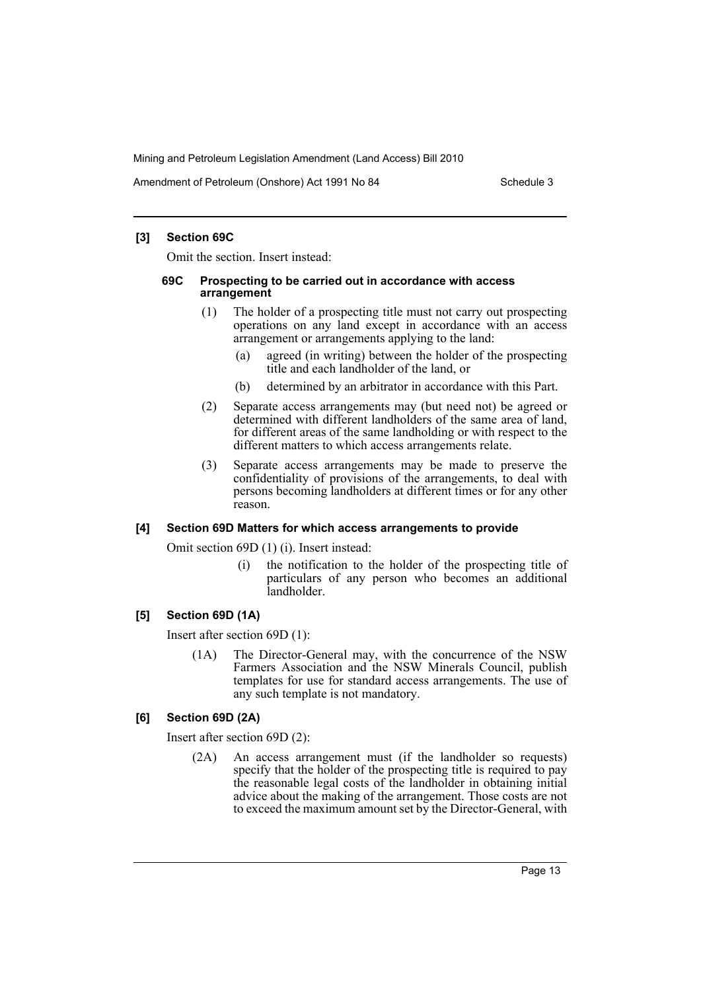Amendment of Petroleum (Onshore) Act 1991 No 84 Schedule 3

# **[3] Section 69C**

Omit the section. Insert instead:

#### **69C Prospecting to be carried out in accordance with access arrangement**

- (1) The holder of a prospecting title must not carry out prospecting operations on any land except in accordance with an access arrangement or arrangements applying to the land:
	- (a) agreed (in writing) between the holder of the prospecting title and each landholder of the land, or
	- (b) determined by an arbitrator in accordance with this Part.
- (2) Separate access arrangements may (but need not) be agreed or determined with different landholders of the same area of land, for different areas of the same landholding or with respect to the different matters to which access arrangements relate.
- (3) Separate access arrangements may be made to preserve the confidentiality of provisions of the arrangements, to deal with persons becoming landholders at different times or for any other reason.

# **[4] Section 69D Matters for which access arrangements to provide**

Omit section 69D (1) (i). Insert instead:

(i) the notification to the holder of the prospecting title of particulars of any person who becomes an additional landholder.

# **[5] Section 69D (1A)**

Insert after section 69D (1):

(1A) The Director-General may, with the concurrence of the NSW Farmers Association and the NSW Minerals Council, publish templates for use for standard access arrangements. The use of any such template is not mandatory.

# **[6] Section 69D (2A)**

Insert after section 69D (2):

(2A) An access arrangement must (if the landholder so requests) specify that the holder of the prospecting title is required to pay the reasonable legal costs of the landholder in obtaining initial advice about the making of the arrangement. Those costs are not to exceed the maximum amount set by the Director-General, with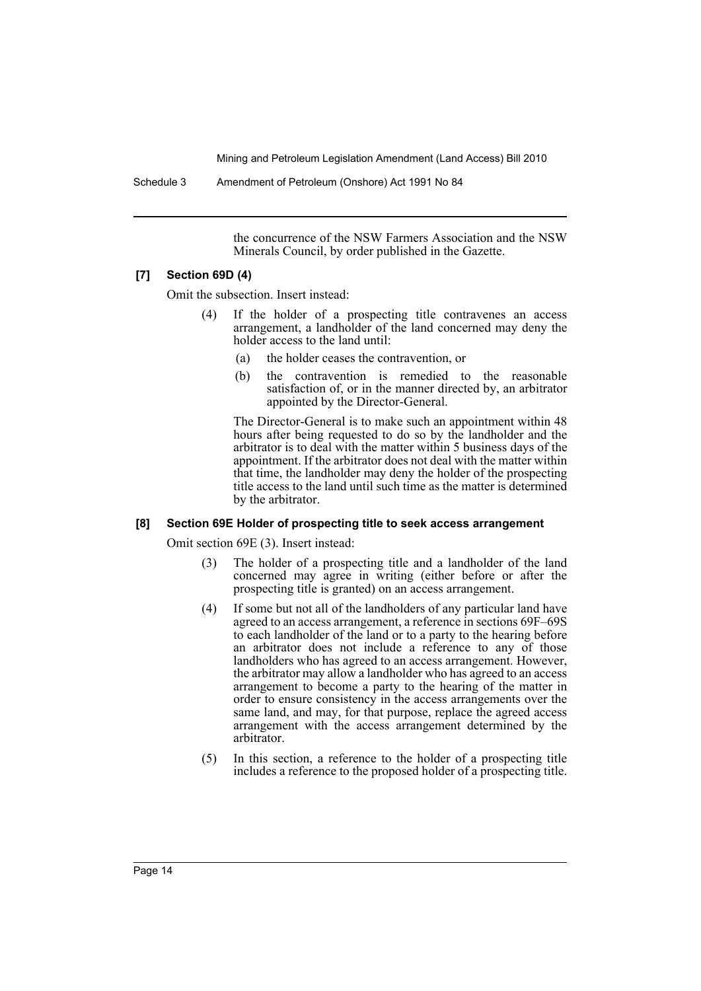Schedule 3 Amendment of Petroleum (Onshore) Act 1991 No 84

the concurrence of the NSW Farmers Association and the NSW Minerals Council, by order published in the Gazette.

# **[7] Section 69D (4)**

Omit the subsection. Insert instead:

- (4) If the holder of a prospecting title contravenes an access arrangement, a landholder of the land concerned may deny the holder access to the land until:
	- (a) the holder ceases the contravention, or
	- (b) the contravention is remedied to the reasonable satisfaction of, or in the manner directed by, an arbitrator appointed by the Director-General.

The Director-General is to make such an appointment within 48 hours after being requested to do so by the landholder and the arbitrator is to deal with the matter within 5 business days of the appointment. If the arbitrator does not deal with the matter within that time, the landholder may deny the holder of the prospecting title access to the land until such time as the matter is determined by the arbitrator.

# **[8] Section 69E Holder of prospecting title to seek access arrangement**

Omit section 69E (3). Insert instead:

- (3) The holder of a prospecting title and a landholder of the land concerned may agree in writing (either before or after the prospecting title is granted) on an access arrangement.
- (4) If some but not all of the landholders of any particular land have agreed to an access arrangement, a reference in sections 69F–69S to each landholder of the land or to a party to the hearing before an arbitrator does not include a reference to any of those landholders who has agreed to an access arrangement. However, the arbitrator may allow a landholder who has agreed to an access arrangement to become a party to the hearing of the matter in order to ensure consistency in the access arrangements over the same land, and may, for that purpose, replace the agreed access arrangement with the access arrangement determined by the arbitrator.
- (5) In this section, a reference to the holder of a prospecting title includes a reference to the proposed holder of a prospecting title.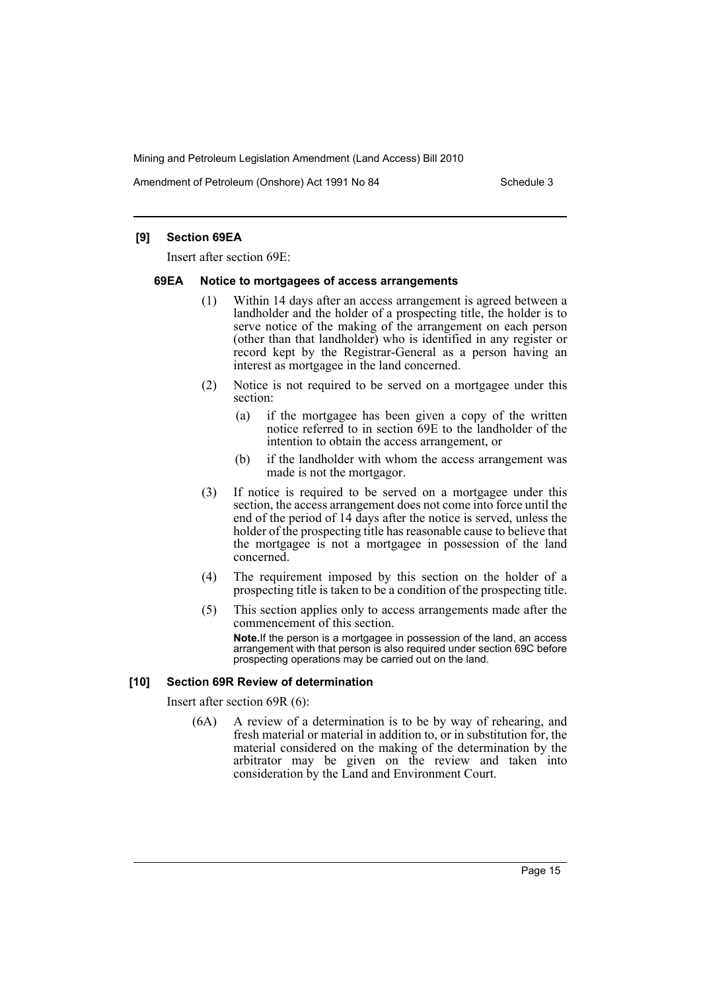Amendment of Petroleum (Onshore) Act 1991 No 84 Schedule 3

# **[9] Section 69EA**

Insert after section 69E:

#### **69EA Notice to mortgagees of access arrangements**

- (1) Within 14 days after an access arrangement is agreed between a landholder and the holder of a prospecting title, the holder is to serve notice of the making of the arrangement on each person (other than that landholder) who is identified in any register or record kept by the Registrar-General as a person having an interest as mortgagee in the land concerned.
- (2) Notice is not required to be served on a mortgagee under this section:
	- (a) if the mortgagee has been given a copy of the written notice referred to in section 69E to the landholder of the intention to obtain the access arrangement, or
	- (b) if the landholder with whom the access arrangement was made is not the mortgagor.
- (3) If notice is required to be served on a mortgagee under this section, the access arrangement does not come into force until the end of the period of 14 days after the notice is served, unless the holder of the prospecting title has reasonable cause to believe that the mortgagee is not a mortgagee in possession of the land concerned.
- (4) The requirement imposed by this section on the holder of a prospecting title is taken to be a condition of the prospecting title.
- (5) This section applies only to access arrangements made after the commencement of this section. **Note.**If the person is a mortgagee in possession of the land, an access arrangement with that person is also required under section 69C before prospecting operations may be carried out on the land.

#### **[10] Section 69R Review of determination**

Insert after section 69R (6):

(6A) A review of a determination is to be by way of rehearing, and fresh material or material in addition to, or in substitution for, the material considered on the making of the determination by the arbitrator may be given on the review and taken into consideration by the Land and Environment Court.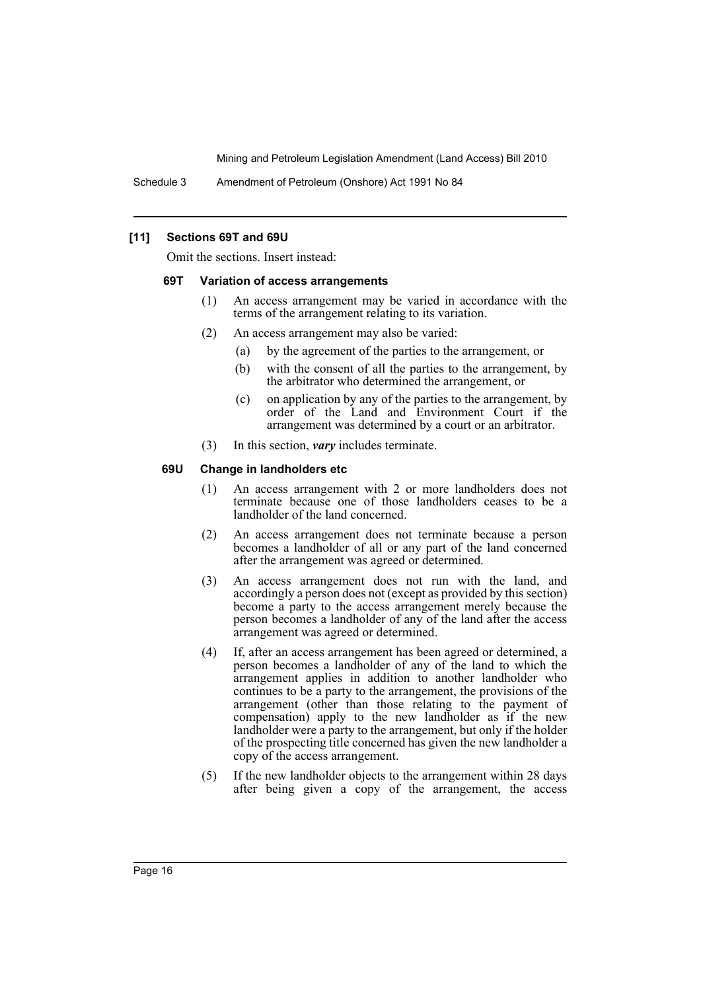Schedule 3 Amendment of Petroleum (Onshore) Act 1991 No 84

# **[11] Sections 69T and 69U**

Omit the sections. Insert instead:

#### **69T Variation of access arrangements**

- (1) An access arrangement may be varied in accordance with the terms of the arrangement relating to its variation.
- (2) An access arrangement may also be varied:
	- (a) by the agreement of the parties to the arrangement, or
	- (b) with the consent of all the parties to the arrangement, by the arbitrator who determined the arrangement, or
	- (c) on application by any of the parties to the arrangement, by order of the Land and Environment Court if the arrangement was determined by a court or an arbitrator.
- (3) In this section, *vary* includes terminate.

#### **69U Change in landholders etc**

- (1) An access arrangement with 2 or more landholders does not terminate because one of those landholders ceases to be a landholder of the land concerned.
- (2) An access arrangement does not terminate because a person becomes a landholder of all or any part of the land concerned after the arrangement was agreed or determined.
- (3) An access arrangement does not run with the land, and accordingly a person does not (except as provided by this section) become a party to the access arrangement merely because the person becomes a landholder of any of the land after the access arrangement was agreed or determined.
- (4) If, after an access arrangement has been agreed or determined, a person becomes a landholder of any of the land to which the arrangement applies in addition to another landholder who continues to be a party to the arrangement, the provisions of the arrangement (other than those relating to the payment of compensation) apply to the new landholder as if the new landholder were a party to the arrangement, but only if the holder of the prospecting title concerned has given the new landholder a copy of the access arrangement.
- (5) If the new landholder objects to the arrangement within 28 days after being given a copy of the arrangement, the access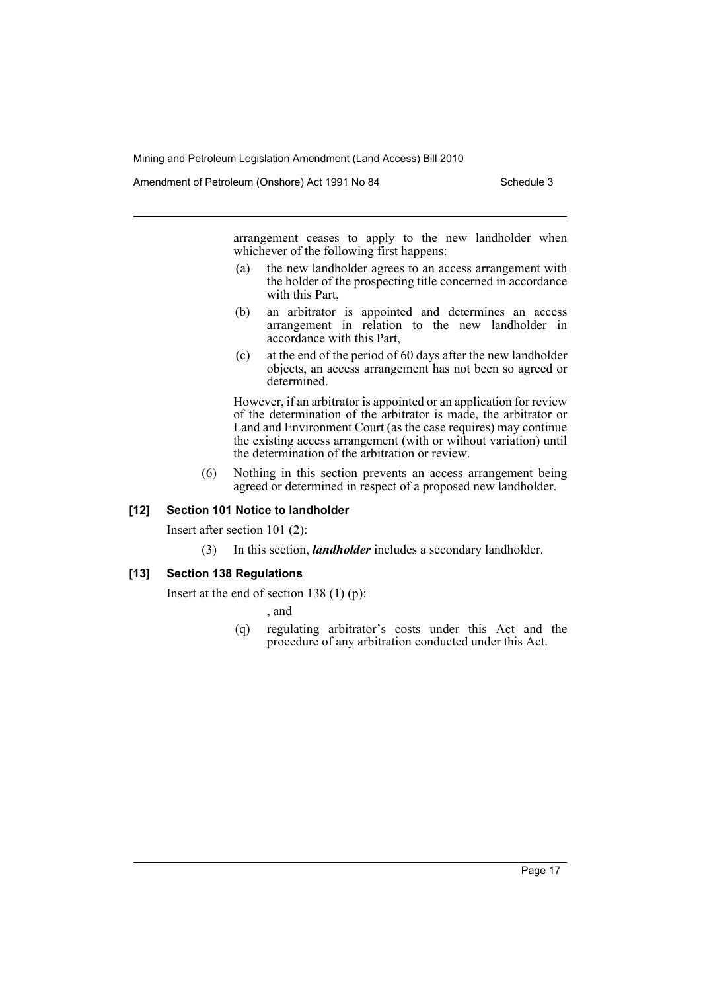Amendment of Petroleum (Onshore) Act 1991 No 84 Schedule 3

arrangement ceases to apply to the new landholder when whichever of the following first happens:

- (a) the new landholder agrees to an access arrangement with the holder of the prospecting title concerned in accordance with this Part,
- (b) an arbitrator is appointed and determines an access arrangement in relation to the new landholder in accordance with this Part,
- (c) at the end of the period of 60 days after the new landholder objects, an access arrangement has not been so agreed or determined.

However, if an arbitrator is appointed or an application for review of the determination of the arbitrator is made, the arbitrator or Land and Environment Court (as the case requires) may continue the existing access arrangement (with or without variation) until the determination of the arbitration or review.

(6) Nothing in this section prevents an access arrangement being agreed or determined in respect of a proposed new landholder.

# **[12] Section 101 Notice to landholder**

Insert after section 101 (2):

(3) In this section, *landholder* includes a secondary landholder.

#### **[13] Section 138 Regulations**

Insert at the end of section 138  $(1)$  (p):

, and

(q) regulating arbitrator's costs under this Act and the procedure of any arbitration conducted under this Act.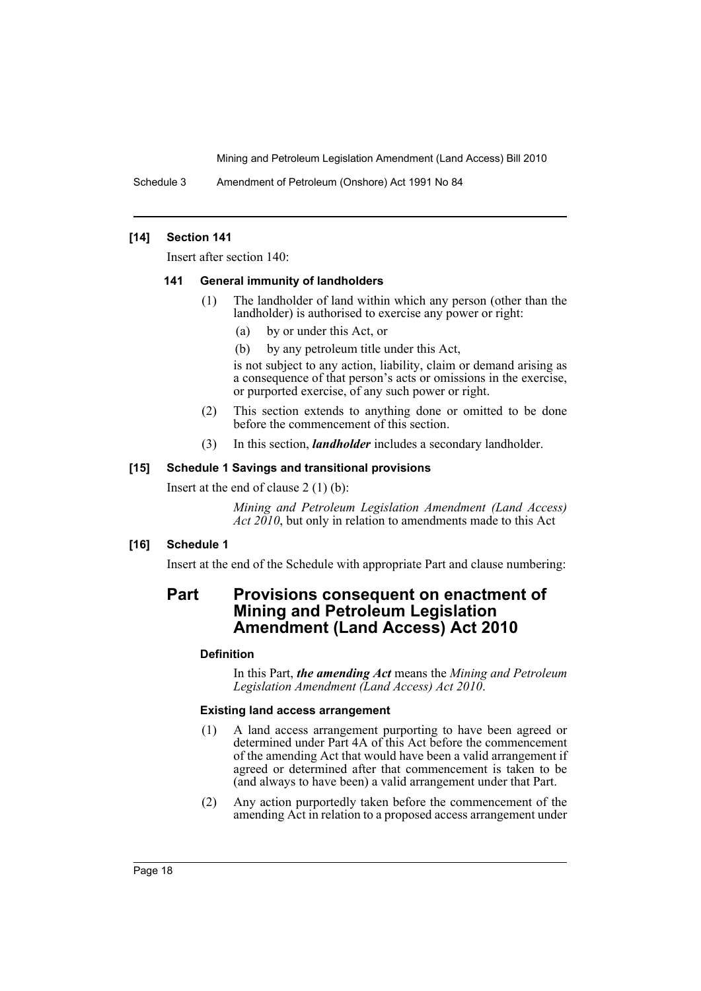Schedule 3 Amendment of Petroleum (Onshore) Act 1991 No 84

# **[14] Section 141**

Insert after section 140:

#### **141 General immunity of landholders**

- (1) The landholder of land within which any person (other than the landholder) is authorised to exercise any power or right:
	- (a) by or under this Act, or
	- (b) by any petroleum title under this Act,

is not subject to any action, liability, claim or demand arising as a consequence of that person's acts or omissions in the exercise, or purported exercise, of any such power or right.

- (2) This section extends to anything done or omitted to be done before the commencement of this section.
- (3) In this section, *landholder* includes a secondary landholder.

# **[15] Schedule 1 Savings and transitional provisions**

Insert at the end of clause 2 (1) (b):

*Mining and Petroleum Legislation Amendment (Land Access) Act 2010*, but only in relation to amendments made to this Act

# **[16] Schedule 1**

Insert at the end of the Schedule with appropriate Part and clause numbering:

# **Part Provisions consequent on enactment of Mining and Petroleum Legislation Amendment (Land Access) Act 2010**

# **Definition**

In this Part, *the amending Act* means the *Mining and Petroleum Legislation Amendment (Land Access) Act 2010*.

#### **Existing land access arrangement**

- (1) A land access arrangement purporting to have been agreed or determined under Part 4A of this Act before the commencement of the amending Act that would have been a valid arrangement if agreed or determined after that commencement is taken to be (and always to have been) a valid arrangement under that Part.
- (2) Any action purportedly taken before the commencement of the amending Act in relation to a proposed access arrangement under